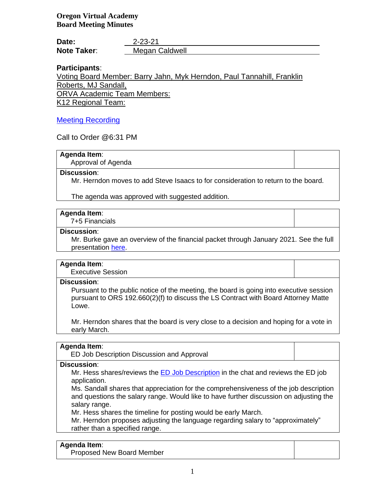**Oregon Virtual Academy Board Meeting Minutes**

| Date:              | $2 - 23 - 21$  |
|--------------------|----------------|
| <b>Note Taker:</b> | Megan Caldwell |

# **Participants**:

Voting Board Member: Barry Jahn, Myk Herndon, Paul Tannahill, Franklin Roberts, MJ Sandall, ORVA Academic Team Members: K12 Regional Team:

# [Meeting Recording](https://k12inc-my.sharepoint.com/personal/mecaldwell_oregonva_org/Documents/Documents/Secretary%20to%20the%20Board/Board%20Meetings/20-21/February%202021/Regular%20Meeting%202-23-21/zoom_0.mp4)

Call to Order @6:31 PM

### **Agenda Item**:

Approval of Agenda

#### **Discussion**:

Mr. Herndon moves to add Steve Isaacs to for consideration to return to the board.

The agenda was approved with suggested addition.

### **Agenda Item**:

7+5 Financials

### **Discussion**:

Mr. Burke gave an overview of the financial packet through January 2021. See the full presentation [here.](https://k12inc-my.sharepoint.com/personal/mecaldwell_oregonva_org/Documents/Documents/Secretary%20to%20the%20Board/Board%20Meetings/20-21/February%202021/Regular%20Meeting%202-23-21/1.%20ORVA%20FY21%207+5%20Financials%20Presentation%20(02-12-21)_FINAL.pptx)

# **Agenda Item**:

Executive Session

# **Discussion**:

Pursuant to the public notice of the meeting, the board is going into executive session pursuant to ORS 192.660(2)(f) to discuss the LS Contract with Board Attorney Matte Lowe.

Mr. Herndon shares that the board is very close to a decision and hoping for a vote in early March.

# **Agenda Item**:

ED Job Description Discussion and Approval

# **Discussion**:

Mr. Hess shares/reviews the [ED Job Description](https://k12inc-my.sharepoint.com/personal/mecaldwell_oregonva_org/Documents/Documents/Secretary%20to%20the%20Board/Board%20Meetings/20-21/February%202021/Regular%20Meeting%202-23-21/ORVA%20Executive%20Director%20Job%20Description.docx.pdf) in the chat and reviews the ED job application.

Ms. Sandall shares that appreciation for the comprehensiveness of the job description and questions the salary range. Would like to have further discussion on adjusting the salary range.

Mr. Hess shares the timeline for posting would be early March.

Mr. Herndon proposes adjusting the language regarding salary to "approximately" rather than a specified range.

# **Agenda Item**:

Proposed New Board Member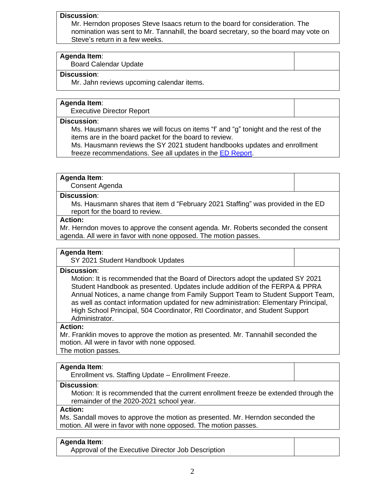#### **Discussion**:

Mr. Herndon proposes Steve Isaacs return to the board for consideration. The nomination was sent to Mr. Tannahill, the board secretary, so the board may vote on Steve's return in a few weeks.

#### **Agenda Item**:

Board Calendar Update

#### **Discussion**:

Mr. Jahn reviews upcoming calendar items.

# **Agenda Item**:

Executive Director Report

### **Discussion**:

Ms. Hausmann shares we will focus on items "f' and "g" tonight and the rest of the items are in the board packet for the board to review.

Ms. Hausmann reviews the SY 2021 student handbooks updates and enrollment freeze recommendations. See all updates in the [ED Report.](https://k12inc-my.sharepoint.com/personal/mecaldwell_oregonva_org/Documents/Documents/Secretary%20to%20the%20Board/Board%20Meetings/20-21/February%202021/Regular%20Meeting%202-23-21/Article%20III.2%20Executive%20Director%20Report%202.23.21.pdf)

#### **Agenda Item**:

Consent Agenda

#### **Discussion**:

Ms. Hausmann shares that item d "February 2021 Staffing" was provided in the ED report for the board to review.

## **Action:**

Mr. Herndon moves to approve the consent agenda. Mr. Roberts seconded the consent agenda. All were in favor with none opposed. The motion passes.

#### **Agenda Item**:

SY 2021 Student Handbook Updates

#### **Discussion**:

Motion: It is recommended that the Board of Directors adopt the updated SY 2021 Student Handbook as presented. Updates include addition of the FERPA & PPRA Annual Notices, a name change from Family Support Team to Student Support Team, as well as contact information updated for new administration: Elementary Principal, High School Principal, 504 Coordinator, RtI Coordinator, and Student Support Administrator.

#### **Action:**

Mr. Franklin moves to approve the motion as presented. Mr. Tannahill seconded the motion. All were in favor with none opposed. The motion passes.

#### **Agenda Item**:

Enrollment vs. Staffing Update – Enrollment Freeze.

#### **Discussion**:

Motion: It is recommended that the current enrollment freeze be extended through the remainder of the 2020-2021 school year.

# **Action:**

Ms. Sandall moves to approve the motion as presented. Mr. Herndon seconded the motion. All were in favor with none opposed. The motion passes.

#### **Agenda Item**:

Approval of the Executive Director Job Description